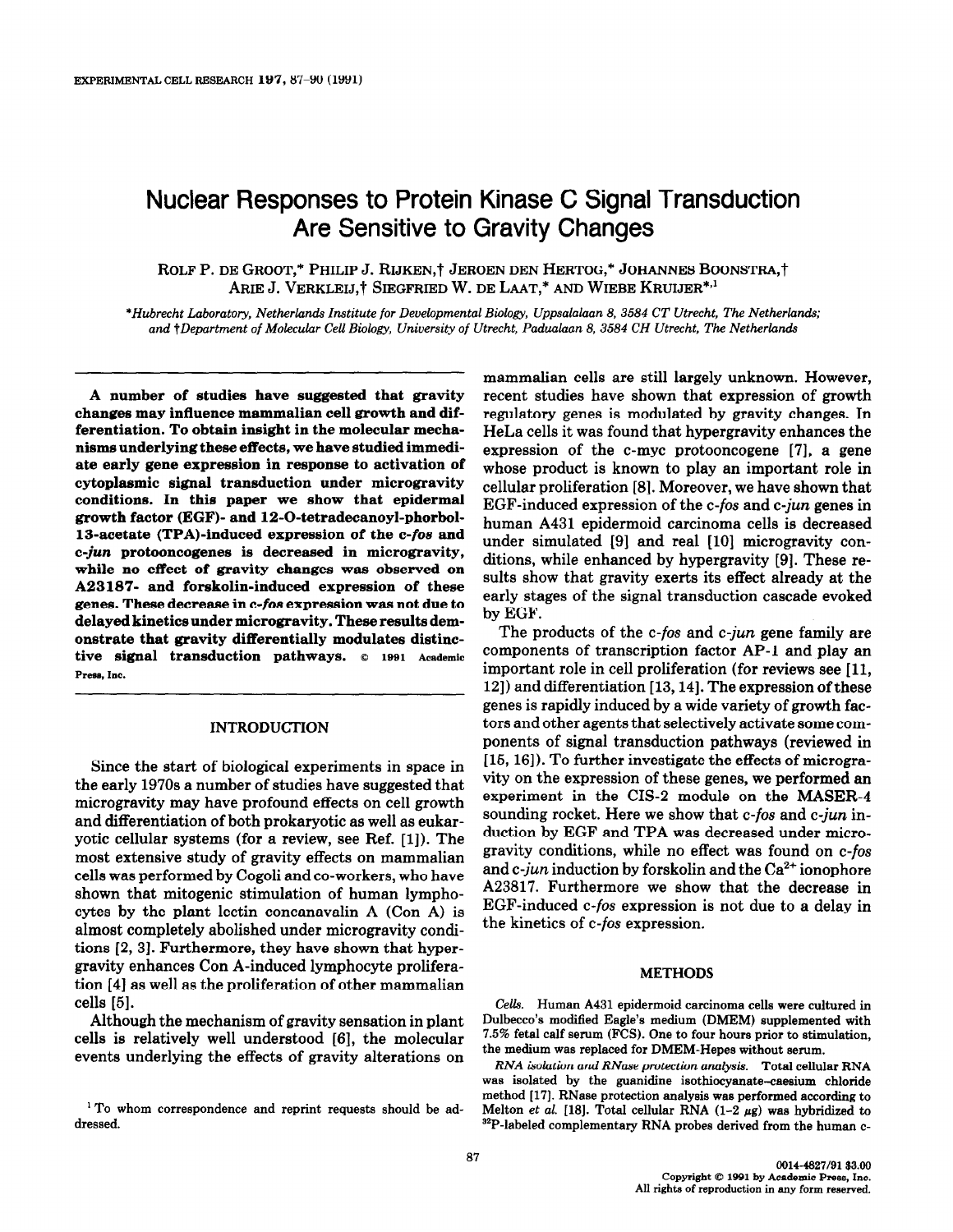# Nuclear Responses to Protein Kinase C Signal Transduction Are Sensitive to Gravity Changes

ROLF P. DE GROOT,\* PHILIP J. RIJKEN,† JEROEN DEN HERTOG,\* JOHANNES BOONSTRA,† ARIE J. VERKLEIJ,† SIEGFRIED W. DE LAAT,\* AND WIEBE KRUIJER\*,<sup>1</sup>

\*Hubrecht Laboratory Netherlands Institute for Developmental Biology, Uppsalalaan 8, 3584 CT Utrecht, The Netherlands; and †Department of Molecular Cell Biology, University of Utrecht, Padualaan 8, 3584 CH Utrecht, The Netherlands

A number of studies have suggested that gravity changes may influence mammalian cell growth and differentiation. To obtain insight in the molecular mechanisms underlying these effects, we have studied immediate early gene expression in response to activation of cytoplasmic signal transduction under microgravity conditions. In this paper we show that epidermal growth factor (EGF)- and 12-O-tetradecanoyl-phorbol-13-acetate (TPA)-induced expression of the c-foe and c-jun protooncogenes is decreased in microgravity, while no effect of gravity changes was observed on A23187- and forskolin-induced expression of these genes. These decrease in c-foe expression was not due to delayed kinetics under microgravity. These results demonstrate that gravity differentially modulates distinctive signal transduction pathways.  $© 1991$  Academic Press, Inc.

# INTRODUCTION

Since the start of biological experiments in space in the early 1970s a number of studies have suggested that microgravity may have profound effects on cell growth and differentiation of both prokaryotic as well as eukaryotic cellular systems (for a review, see Ref. [1]). The most extensive study of gravity effects on mammalian cells was performed by Cogoli and co-workers, who have shown that mitogenic stimulation of human lymphocytes by the plant lectin concanavalin A (Con A) is almost completely abolished under microgravity conditions [2,3]. Furthermore, they have shown that hypergravity enhances Con A-induced lymphocyte proliferation [4] as well as the proliferation of other mammalian cells [5].

Although the mechanism of gravity sensation in plant cells is relatively well understood [6], the molecular events underlying the effects of gravity alterations on

mammalian cells are still largely unknown. However, recent studies have shown that expression of growth regulatory genes is modulated by gravity changes. In HeLa cells it was found that hypergravity enhances the expression of the c-myc protooncogene [7], a gene whose product is known to play an important role in cellular proliferation [8]. Moreover, we have shown that EGF-induced expression of the c-fos and c-jun genes in human A431 epidermoid carcinoma cells is decreased under simulated [9] and real [10] microgravity conditions, while enhanced by hypergravity [9]. These results show that gravity exerts its effect already at the early stages of the signal transduction cascade evoked by EGF.

The products of the c-fos and c-jun gene family are components of transcription factor AP-1 and play an important role in cell proliferation (for reviews see [ll, 121) and differentiation [13,14]. The expression of these genes is rapidly induced by a wide variety of growth factors and other agents that selectively activate some components of signal transduction pathways (reviewed in [15, 16]). To further investigate the effects of microgravity on the expression of these genes, we performed an experiment in the CIS-2 module on the MASER-4 sounding rocket. Here we show that c-fos and c-jun induction by EGF and TPA was decreased under microgravity conditions, while no effect was found on c-fos and c-jun induction by forskolin and the  $Ca^{2+}$  ionophore A23817. Furthermore we show that the decrease in EGF-induced c-fos expression is not due to a delay in the kinetics of c-fos expression.

### METHODS

Cells. Human A431 epidermoid carcinoma cells were cultured in Dulbecco's modified Eagle's medium (DMEM) supplemented with 7.5% fetal calf serum (FCS). One to four hours prior to stimulation, the medium was replaced for DMEM-Hepes without serum.

RNA isolation and RNase protection analysis. Total cellular RNA was isolated by the guanidine isothiocyanate-caesium chloride method [17]. RNase protection analysis was performed according to Melton et al. [18]. Total cellular RNA  $(1-2 \mu g)$  was hybridized to 32P-labeled complementary RNA probes derived from the human c-

<sup>1</sup> To whom correspondence and reprint requests should be addressed.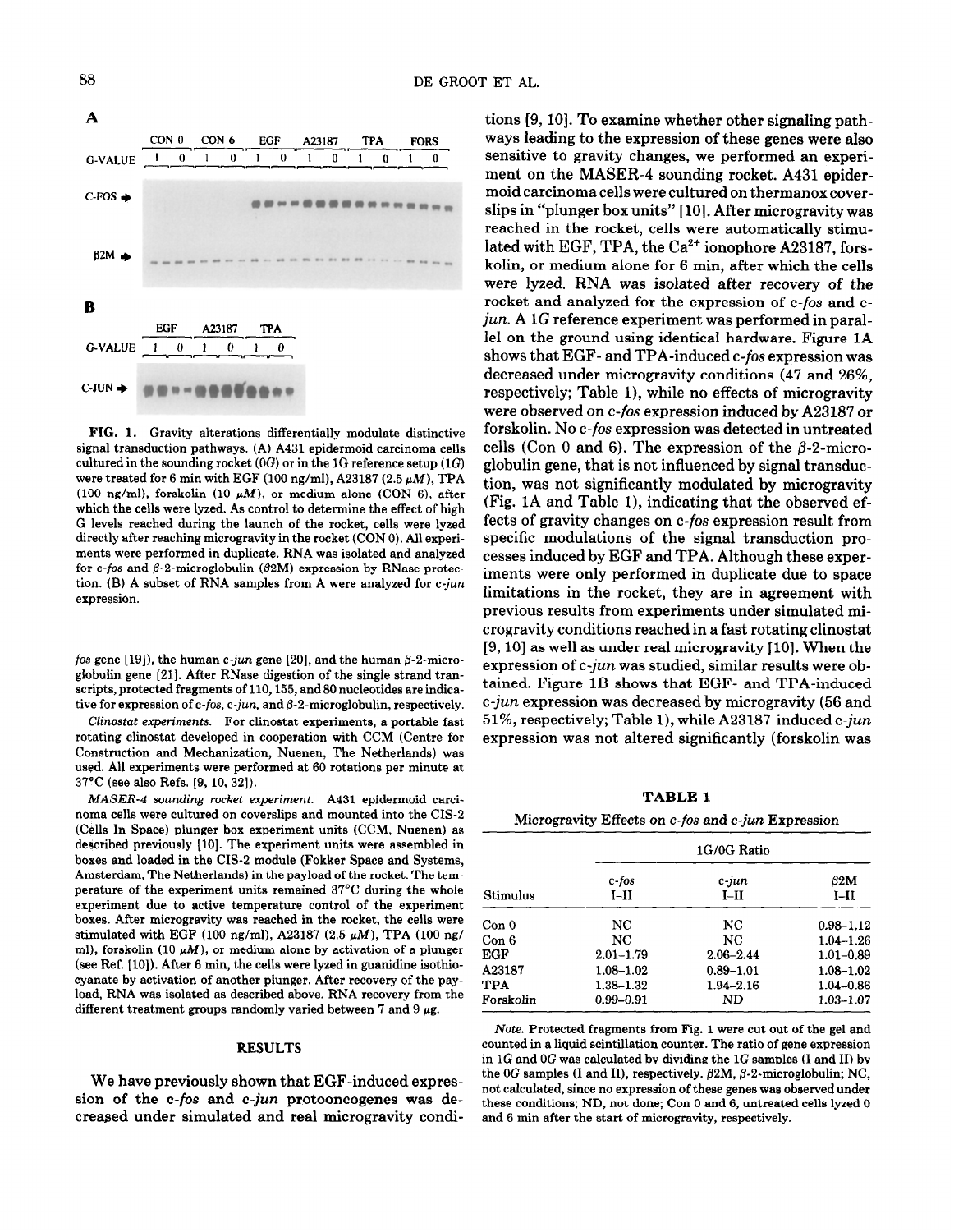

FIG. 1. Gravity alterations differentially modulate distinctive signal transduction pathways. (A) A431 epidermoid carcinoma cells cultured in the sounding rocket  $(0G)$  or in the 1G reference setup  $(1G)$ were treated for 6 min with EGF (100 ng/ml), A23187 (2.5  $\mu$ M), TPA (100 ng/ml), forskolin (10  $\mu$ M), or medium alone (CON 6), after which the cells were lyzed. As control to determine the effect of high G levels reached during the launch of the rocket, cells were lyzed directly after reaching microgravity in the rocket (CON 0). All experiments were performed in duplicate. RNA was isolated and analyzed for c-fos and  $\beta$ -2-microglobulin ( $\beta$ 2M) expression by RNase protection. (B) A subset of RNA samples from A were analyzed for c-jun expression.

fos gene [19]), the human c-jun gene [20], and the human  $\beta$ -2-microglobulin gene [21]. After RNase digestion of the single strand transcripts, protected fragments of 110, 155, and 80 nucleotides are indicative for expression of  $c$ -fos,  $c$ -jun, and  $\beta$ -2-microglobulin, respectively.

Clinostat experiments. For clinostat experiments, a portable fast rotating clinostat developed in cooperation with CCM (Centre for Construction and Mechanization, Nuenen, The Netherlands) was used. All experiments were performed at 60 rotations per minute at 37°C (see also Refs. 19, 10, 321).

MASER-4 sounding rocket experiment. A431 epidermoid carcinoma cells were cultured on coverslips and mounted into the CIS-2 (Cells In Space) plunger box experiment units (CCM, Nuenen) as described previously [10]. The experiment units were assembled in boxes and loaded in the CIS-2 module (Fokker Space and Systems, Amsterdam, The Netherlands) in the payload of the rocket. The temperature of the experiment units remained 37°C during the whole experiment due to active temperature control of the experiment boxes. After microgravity was reached in the rocket, the cells were stimulated with EGF (100 ng/ml), A23187 (2.5  $\mu$ M), TPA (100 ng/ ml), forskolin (10  $\mu$ M), or medium alone by activation of a plunger (see Ref. [lo]). After 6 min, the cells were lyzed in guanidine isothiocyanate by activation of another plunger. After recovery of the payload, RNA was isolated as described above. RNA recovery from the different treatment groups randomly varied between 7 and 9  $\mu$ g.

#### RESULTS

We have previously shown that EGF-induced expression of the c-fos and c-jun protooncogenes was decreased under simulated and real microgravity condi-

tions [9, 10]. To examine whether other signaling pathways leading to the expression of these genes were also sensitive to gravity changes, we performed an experiment on the MASER-4 sounding rocket. A431 epidermoid carcinoma cells were cultured on thermanox coverslips in "plunger box units" [lo]. After microgravity was reached in the rocket, cells were automatically stimulated with EGF, TPA, the  $Ca^{2+}$  ionophore A23187, forskolin, or medium alone for 6 min, after which the cells were lyzed. RNA was isolated after recovery of the rocket and analyzed for the expression of c-fos and cjun. A 1G reference experiment was performed in parallel on the ground using identical hardware. Figure 1A shows that EGF- and TPA-induced c-fos expression was decreased under microgravity conditions (47 and 26%, respectively; Table l), while no effects of microgravity were observed on c-fos expression induced by A23187 or forskolin. No c-fos expression was detected in untreated cells (Con 0 and 6). The expression of the  $\beta$ -2-microglobulin gene, that is not influenced by signal transduction, was not significantly modulated by microgravity (Fig. 1A and Table l), indicating that the observed effects of gravity changes on c-fos expression result from specific modulations of the signal transduction processes induced by EGF and TPA. Although these experiments were only performed in duplicate due to space limitations in the rocket, they are in agreement with previous results from experiments under simulated microgravity conditions reached in a fast rotating clinostat [9, 10] as well as under real microgravity [10]. When the expression of c-jun was studied, similar results were obtained. Figure 1B shows that EGF- and TPA-induced c-jun expression was decreased by microgravity (56 and 51%, respectively; Table l), while A23187-induced c-jun expression was not altered significantly (forskolin was

TABLE 1

Microgravity Effects on c-fos and c-jun Expression

| Stimulus   | 1G/0G Ratio     |                    |               |
|------------|-----------------|--------------------|---------------|
|            | c-fos<br>$I-II$ | $c$ -jun<br>$I-II$ | 62M<br>$I-II$ |
| Con 0      | NC              | NC.                | $0.98 - 1.12$ |
| Con 6      | NC              | NC                 | $1.04 - 1.26$ |
| EGF        | $2.01 - 1.79$   | $2.06 - 2.44$      | $1.01 - 0.89$ |
| A23187     | $1.08 - 1.02$   | $0.89 - 1.01$      | $1.08 - 1.02$ |
| <b>TPA</b> | 1.38–1.32       | $1.94 - 2.16$      | $1.04 - 0.86$ |
| Forskolin  | $0.99 - 0.91$   | ND                 | $1.03 - 1.07$ |

Note. Protected fragments from Fig. 1 were cut out of the gel and counted in a liquid scintillation counter. The ratio of gene expression in  $1G$  and  $0G$  was calculated by dividing the  $1G$  samples (I and II) by the  $0G$  samples (I and II), respectively.  $\beta$ 2M,  $\beta$ -2-microglobulin; NC, not calculated, since no expression of these genes was observed under these conditions; ND, not done; Con 0 and 6, untreated cells lyzed 0 and 6 min after the start of microgravity, respectively.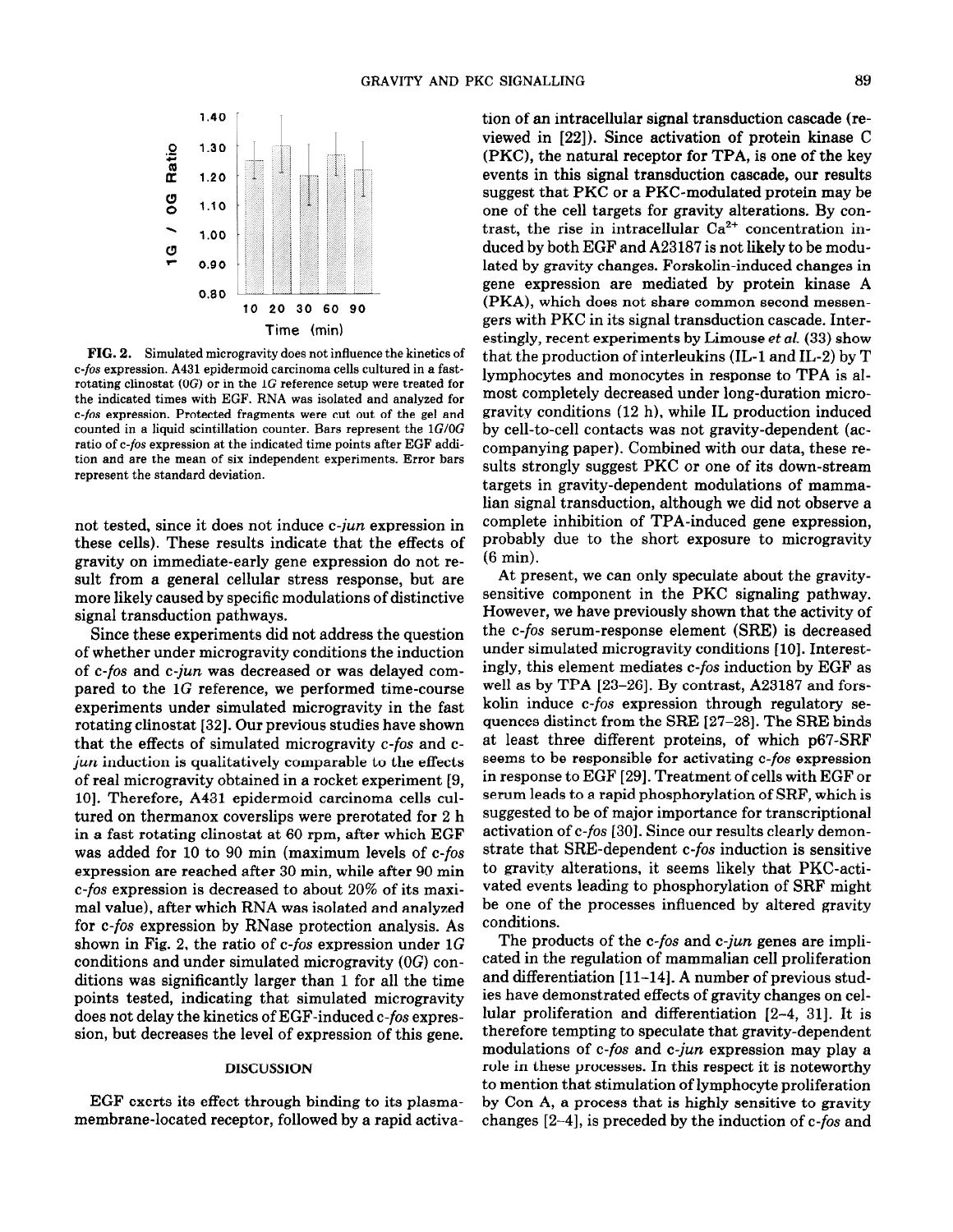

FIG. 2. Simulated microgravity does not influence the kinetics of c-fos expression. A431 epidermoid carcinoma cells cultured in a fastrotating clinostat (OG) or in the 1G reference setup were treated for the indicated times with EGF. RNA was isolated and analyzed for c-fos expression. Protected fragments were cut out of the gel and counted in a liquid scintillation counter. Bars represent the  $1G/OG$ ratio of c-fos expression at the indicated time points after EGF addition and are the mean of six independent experiments. Error bars represent the standard deviation.

not tested, since it does not induce c-jun expression in these cells). These results indicate that the effects of gravity on immediate-early gene expression do not result from a general cellular stress response, but are more likely caused by specific modulations of distinctive signal transduction pathways.

Since these experiments did not address the question of whether under microgravity conditions the induction of c-fos and c-jun was decreased or was delayed compared to the 1G reference, we performed time-course experiments under simulated microgravity in the fast rotating clinostat [32]. Our previous studies have shown that the effects of simulated microgravity c-fos and cjun induction is qualitatively comparable to the effects of real microgravity obtained in a rocket experiment [9, 10]. Therefore, A431 epidermoid carcinoma cells cultured on thermanox coverslips were prerotated for 2 h in a fast rotating clinostat at 60 rpm, after which EGF was added for 10 to 90 min (maximum levels of c-fos expression are reached after 30 min, while after 90 min c-fos expression is decreased to about 20% of its maximal value), after which RNA was isolated and analyzed for c-fos expression by RNase protection analysis. As shown in Fig. 2, the ratio of c-fos expression under  $1G$ conditions and under simulated microgravity (OG) conditions was significantly larger than 1 for all the time points tested, indicating that simulated microgravity does not delay the kinetics of EGF-induced c-fos expression, but decreases the level of expression of this gene.

# **DISCUSSION**

EGF exerts its effect through binding to its plasmamembrane-located receptor, followed by a rapid activation of an intracellular signal transduction cascade (reviewed in [22]). Since activation of protein kinase C (PKC), the natural receptor for TPA, is one of the key events in this signal transduction cascade, our results suggest that PKC or a PKC-modulated protein may be one of the cell targets for gravity alterations. By contrast, the rise in intracellular  $Ca^{2+}$  concentration induced by both EGF and A23187 is not likely to be modulated by gravity changes. Forskolin-induced changes in gene expression are mediated by protein kinase A (PKA), which does not share common second messengers with PKC in its signal transduction cascade. Interestingly, recent experiments by Limouse et al. (33) show that the production of interleukins (IL-l and IL-2) by T lymphocytes and monocytes in response to TPA is almost completely decreased under long-duration microgravity conditions (12 h), while IL production induced by cell-to-cell contacts was not gravity-dependent (accompanying paper). Combined with our data, these results strongly suggest PKC or one of its down-stream targets in gravity-dependent modulations of mammalian signal transduction, although we did not observe a complete inhibition of TPA-induced gene expression, probably due to the short exposure to microgravity (6 min).

At present, we can only speculate about the gravitysensitive component in the PKC signaling pathway. However, we have previously shown that the activity of the c-fos serum-response element (SRE) is decreased under simulated microgravity conditions [10]. Interestingly, this element mediates c-fos induction by EGF as well as by TPA [23-261. By contrast, A23187 and forskolin induce c-fos expression through regulatory sequences distinct from the SRE 127-281. The SRE binds at least three different proteins, of which p67-SRF seems to be responsible for activating c-fos expression in response to EGF [29]. Treatment of cells with EGF or serum leads to a rapid phosphorylation of SRF, which is suggested to be of major importance for transcriptional activation of c-fos [30]. Since our results clearly demonstrate that SRE-dependent c-fos induction is sensitive to gravity alterations, it seems likely that PKC-activated events leading to phosphorylation of SRF might be one of the processes influenced by altered gravity conditions.

The products of the c-fos and c-jun genes are implicated in the regulation of mammalian cell proliferation and differentiation [11-14]. A number of previous studies have demonstrated effects of gravity changes on cellular proliferation and differentiation [2-4, 311. It is therefore tempting to speculate that gravity-dependent modulations of c-fos and c-jun expression may play a role in these processes. In this respect it is noteworthy to mention that stimulation of lymphocyte proliferation by Con A, a process that is highly sensitive to gravity changes  $[2-4]$ , is preceded by the induction of c-fos and